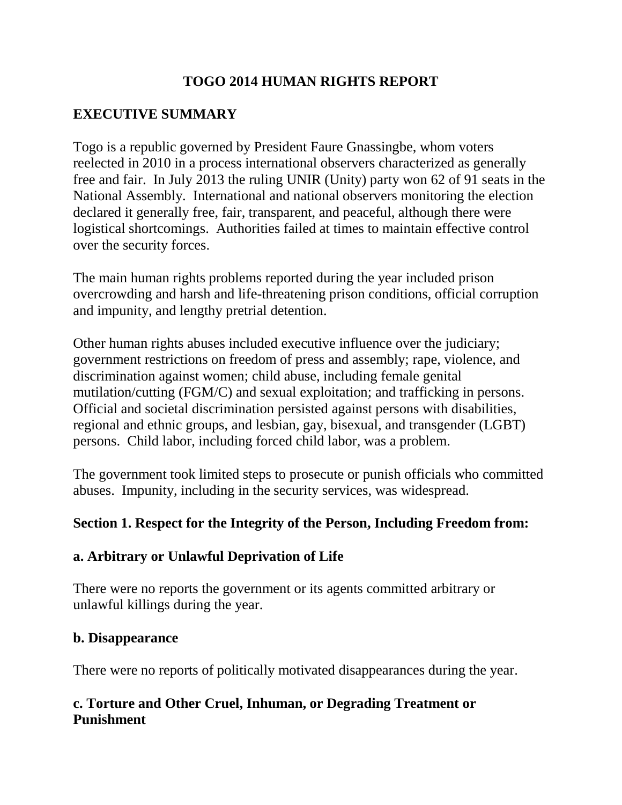# **TOGO 2014 HUMAN RIGHTS REPORT**

# **EXECUTIVE SUMMARY**

Togo is a republic governed by President Faure Gnassingbe, whom voters reelected in 2010 in a process international observers characterized as generally free and fair. In July 2013 the ruling UNIR (Unity) party won 62 of 91 seats in the National Assembly. International and national observers monitoring the election declared it generally free, fair, transparent, and peaceful, although there were logistical shortcomings. Authorities failed at times to maintain effective control over the security forces.

The main human rights problems reported during the year included prison overcrowding and harsh and life-threatening prison conditions, official corruption and impunity, and lengthy pretrial detention.

Other human rights abuses included executive influence over the judiciary; government restrictions on freedom of press and assembly; rape, violence, and discrimination against women; child abuse, including female genital mutilation/cutting (FGM/C) and sexual exploitation; and trafficking in persons. Official and societal discrimination persisted against persons with disabilities, regional and ethnic groups, and lesbian, gay, bisexual, and transgender (LGBT) persons. Child labor, including forced child labor, was a problem.

The government took limited steps to prosecute or punish officials who committed abuses. Impunity, including in the security services, was widespread.

## **Section 1. Respect for the Integrity of the Person, Including Freedom from:**

## **a. Arbitrary or Unlawful Deprivation of Life**

There were no reports the government or its agents committed arbitrary or unlawful killings during the year.

### **b. Disappearance**

There were no reports of politically motivated disappearances during the year.

# **c. Torture and Other Cruel, Inhuman, or Degrading Treatment or Punishment**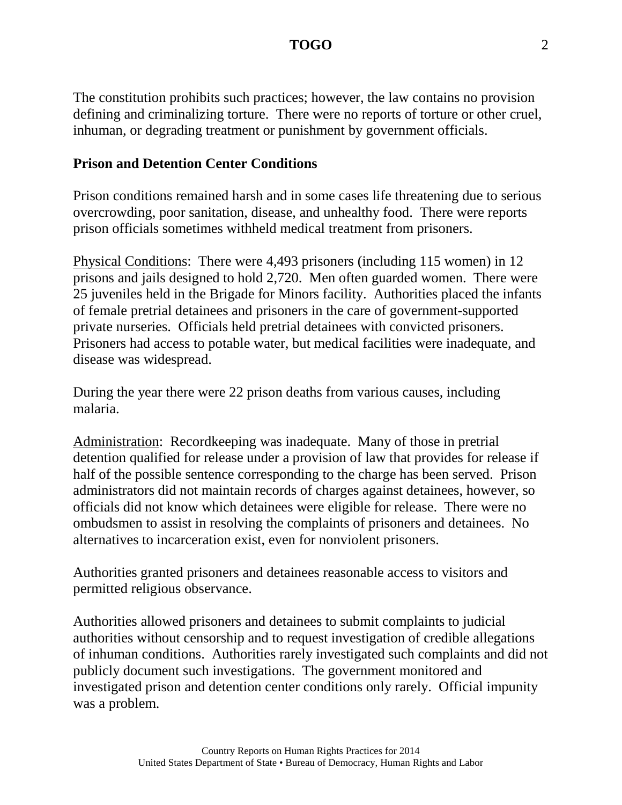The constitution prohibits such practices; however, the law contains no provision defining and criminalizing torture. There were no reports of torture or other cruel, inhuman, or degrading treatment or punishment by government officials.

### **Prison and Detention Center Conditions**

Prison conditions remained harsh and in some cases life threatening due to serious overcrowding, poor sanitation, disease, and unhealthy food. There were reports prison officials sometimes withheld medical treatment from prisoners.

Physical Conditions: There were 4,493 prisoners (including 115 women) in 12 prisons and jails designed to hold 2,720. Men often guarded women. There were 25 juveniles held in the Brigade for Minors facility. Authorities placed the infants of female pretrial detainees and prisoners in the care of government-supported private nurseries. Officials held pretrial detainees with convicted prisoners. Prisoners had access to potable water, but medical facilities were inadequate, and disease was widespread.

During the year there were 22 prison deaths from various causes, including malaria.

Administration: Recordkeeping was inadequate. Many of those in pretrial detention qualified for release under a provision of law that provides for release if half of the possible sentence corresponding to the charge has been served. Prison administrators did not maintain records of charges against detainees, however, so officials did not know which detainees were eligible for release. There were no ombudsmen to assist in resolving the complaints of prisoners and detainees. No alternatives to incarceration exist, even for nonviolent prisoners.

Authorities granted prisoners and detainees reasonable access to visitors and permitted religious observance.

Authorities allowed prisoners and detainees to submit complaints to judicial authorities without censorship and to request investigation of credible allegations of inhuman conditions. Authorities rarely investigated such complaints and did not publicly document such investigations. The government monitored and investigated prison and detention center conditions only rarely. Official impunity was a problem.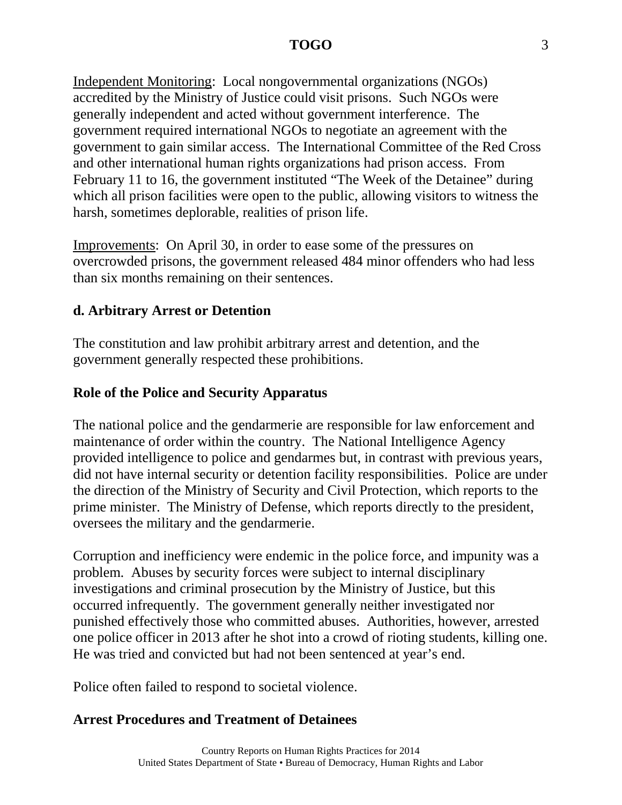Independent Monitoring: Local nongovernmental organizations (NGOs) accredited by the Ministry of Justice could visit prisons. Such NGOs were generally independent and acted without government interference. The government required international NGOs to negotiate an agreement with the government to gain similar access. The International Committee of the Red Cross and other international human rights organizations had prison access. From February 11 to 16, the government instituted "The Week of the Detainee" during which all prison facilities were open to the public, allowing visitors to witness the harsh, sometimes deplorable, realities of prison life.

Improvements: On April 30, in order to ease some of the pressures on overcrowded prisons, the government released 484 minor offenders who had less than six months remaining on their sentences.

### **d. Arbitrary Arrest or Detention**

The constitution and law prohibit arbitrary arrest and detention, and the government generally respected these prohibitions.

## **Role of the Police and Security Apparatus**

The national police and the gendarmerie are responsible for law enforcement and maintenance of order within the country. The National Intelligence Agency provided intelligence to police and gendarmes but, in contrast with previous years, did not have internal security or detention facility responsibilities. Police are under the direction of the Ministry of Security and Civil Protection, which reports to the prime minister. The Ministry of Defense, which reports directly to the president, oversees the military and the gendarmerie.

Corruption and inefficiency were endemic in the police force, and impunity was a problem. Abuses by security forces were subject to internal disciplinary investigations and criminal prosecution by the Ministry of Justice, but this occurred infrequently. The government generally neither investigated nor punished effectively those who committed abuses. Authorities, however, arrested one police officer in 2013 after he shot into a crowd of rioting students, killing one. He was tried and convicted but had not been sentenced at year's end.

Police often failed to respond to societal violence.

### **Arrest Procedures and Treatment of Detainees**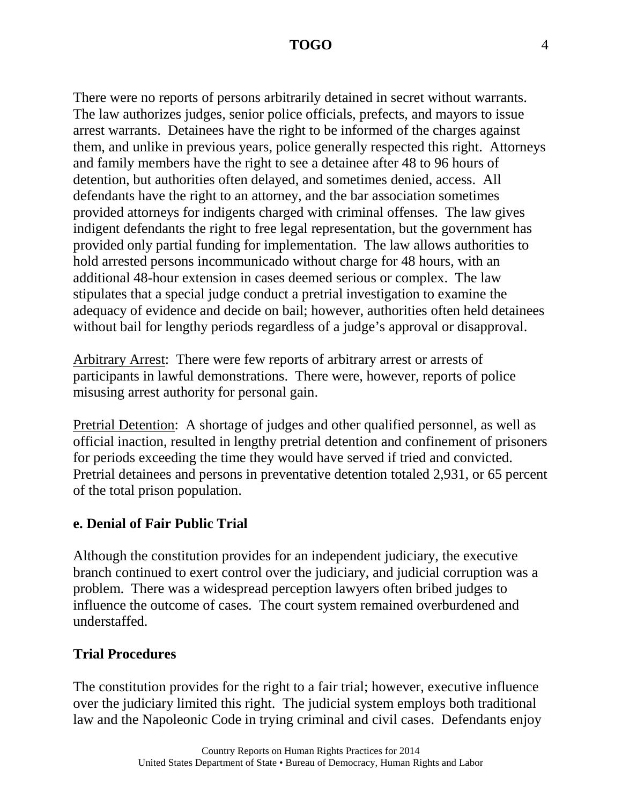There were no reports of persons arbitrarily detained in secret without warrants. The law authorizes judges, senior police officials, prefects, and mayors to issue arrest warrants. Detainees have the right to be informed of the charges against them, and unlike in previous years, police generally respected this right. Attorneys and family members have the right to see a detainee after 48 to 96 hours of detention, but authorities often delayed, and sometimes denied, access. All defendants have the right to an attorney, and the bar association sometimes provided attorneys for indigents charged with criminal offenses. The law gives indigent defendants the right to free legal representation, but the government has provided only partial funding for implementation. The law allows authorities to hold arrested persons incommunicado without charge for 48 hours, with an additional 48-hour extension in cases deemed serious or complex. The law stipulates that a special judge conduct a pretrial investigation to examine the adequacy of evidence and decide on bail; however, authorities often held detainees without bail for lengthy periods regardless of a judge's approval or disapproval.

Arbitrary Arrest: There were few reports of arbitrary arrest or arrests of participants in lawful demonstrations. There were, however, reports of police misusing arrest authority for personal gain.

Pretrial Detention: A shortage of judges and other qualified personnel, as well as official inaction, resulted in lengthy pretrial detention and confinement of prisoners for periods exceeding the time they would have served if tried and convicted. Pretrial detainees and persons in preventative detention totaled 2,931, or 65 percent of the total prison population.

### **e. Denial of Fair Public Trial**

Although the constitution provides for an independent judiciary, the executive branch continued to exert control over the judiciary, and judicial corruption was a problem. There was a widespread perception lawyers often bribed judges to influence the outcome of cases. The court system remained overburdened and understaffed.

### **Trial Procedures**

The constitution provides for the right to a fair trial; however, executive influence over the judiciary limited this right. The judicial system employs both traditional law and the Napoleonic Code in trying criminal and civil cases. Defendants enjoy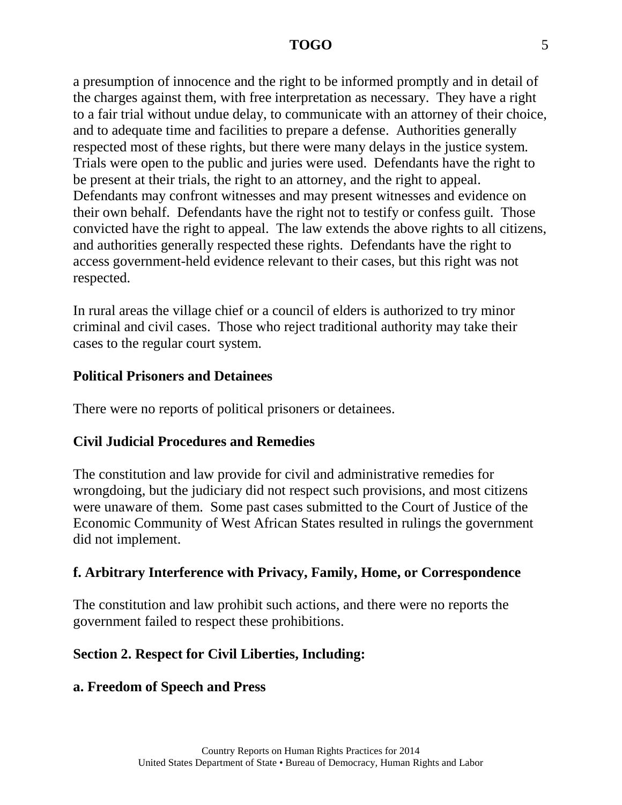a presumption of innocence and the right to be informed promptly and in detail of the charges against them, with free interpretation as necessary. They have a right to a fair trial without undue delay, to communicate with an attorney of their choice, and to adequate time and facilities to prepare a defense. Authorities generally respected most of these rights, but there were many delays in the justice system. Trials were open to the public and juries were used. Defendants have the right to be present at their trials, the right to an attorney, and the right to appeal. Defendants may confront witnesses and may present witnesses and evidence on their own behalf. Defendants have the right not to testify or confess guilt. Those convicted have the right to appeal. The law extends the above rights to all citizens, and authorities generally respected these rights. Defendants have the right to access government-held evidence relevant to their cases, but this right was not respected.

In rural areas the village chief or a council of elders is authorized to try minor criminal and civil cases. Those who reject traditional authority may take their cases to the regular court system.

### **Political Prisoners and Detainees**

There were no reports of political prisoners or detainees.

### **Civil Judicial Procedures and Remedies**

The constitution and law provide for civil and administrative remedies for wrongdoing, but the judiciary did not respect such provisions, and most citizens were unaware of them. Some past cases submitted to the Court of Justice of the Economic Community of West African States resulted in rulings the government did not implement.

### **f. Arbitrary Interference with Privacy, Family, Home, or Correspondence**

The constitution and law prohibit such actions, and there were no reports the government failed to respect these prohibitions.

## **Section 2. Respect for Civil Liberties, Including:**

### **a. Freedom of Speech and Press**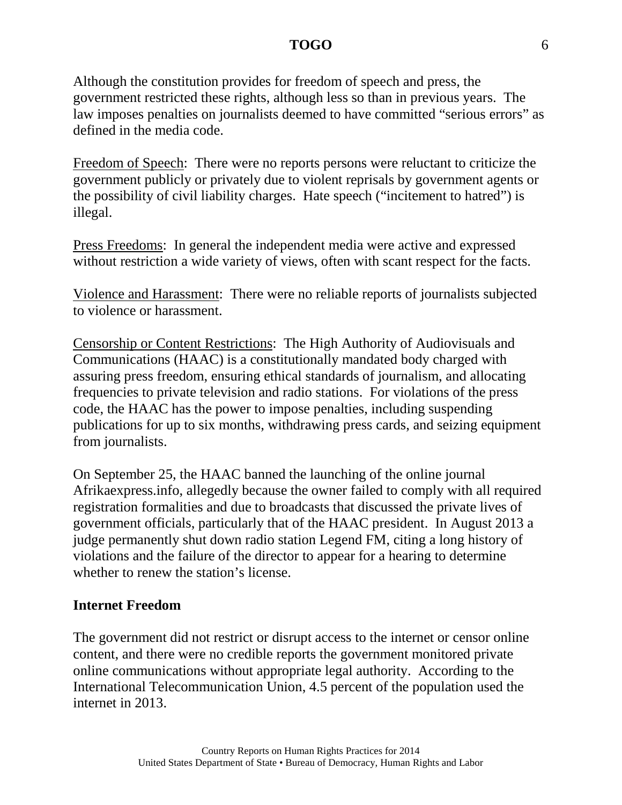Although the constitution provides for freedom of speech and press, the government restricted these rights, although less so than in previous years. The law imposes penalties on journalists deemed to have committed "serious errors" as defined in the media code.

Freedom of Speech: There were no reports persons were reluctant to criticize the government publicly or privately due to violent reprisals by government agents or the possibility of civil liability charges. Hate speech ("incitement to hatred") is illegal.

Press Freedoms: In general the independent media were active and expressed without restriction a wide variety of views, often with scant respect for the facts.

Violence and Harassment: There were no reliable reports of journalists subjected to violence or harassment.

Censorship or Content Restrictions: The High Authority of Audiovisuals and Communications (HAAC) is a constitutionally mandated body charged with assuring press freedom, ensuring ethical standards of journalism, and allocating frequencies to private television and radio stations. For violations of the press code, the HAAC has the power to impose penalties, including suspending publications for up to six months, withdrawing press cards, and seizing equipment from journalists.

On September 25, the HAAC banned the launching of the online journal Afrikaexpress.info, allegedly because the owner failed to comply with all required registration formalities and due to broadcasts that discussed the private lives of government officials, particularly that of the HAAC president. In August 2013 a judge permanently shut down radio station Legend FM, citing a long history of violations and the failure of the director to appear for a hearing to determine whether to renew the station's license.

### **Internet Freedom**

The government did not restrict or disrupt access to the internet or censor online content, and there were no credible reports the government monitored private online communications without appropriate legal authority. According to the International Telecommunication Union, 4.5 percent of the population used the internet in 2013.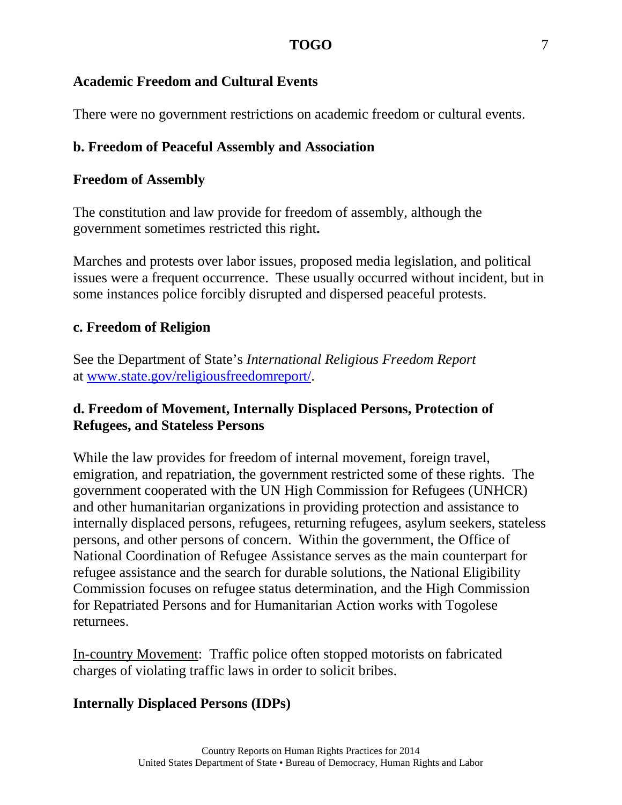## **Academic Freedom and Cultural Events**

There were no government restrictions on academic freedom or cultural events.

# **b. Freedom of Peaceful Assembly and Association**

## **Freedom of Assembly**

The constitution and law provide for freedom of assembly, although the government sometimes restricted this right**.**

Marches and protests over labor issues, proposed media legislation, and political issues were a frequent occurrence. These usually occurred without incident, but in some instances police forcibly disrupted and dispersed peaceful protests.

# **c. Freedom of Religion**

See the Department of State's *International Religious Freedom Report*  at [www.state.gov/religiousfreedomreport/.](http://www.state.gov/religiousfreedomreport/)

## **d. Freedom of Movement, Internally Displaced Persons, Protection of Refugees, and Stateless Persons**

While the law provides for freedom of internal movement, foreign travel, emigration, and repatriation, the government restricted some of these rights. The government cooperated with the UN High Commission for Refugees (UNHCR) and other humanitarian organizations in providing protection and assistance to internally displaced persons, refugees, returning refugees, asylum seekers, stateless persons, and other persons of concern. Within the government, the Office of National Coordination of Refugee Assistance serves as the main counterpart for refugee assistance and the search for durable solutions, the National Eligibility Commission focuses on refugee status determination, and the High Commission for Repatriated Persons and for Humanitarian Action works with Togolese returnees.

In-country Movement: Traffic police often stopped motorists on fabricated charges of violating traffic laws in order to solicit bribes.

# **Internally Displaced Persons (IDPs)**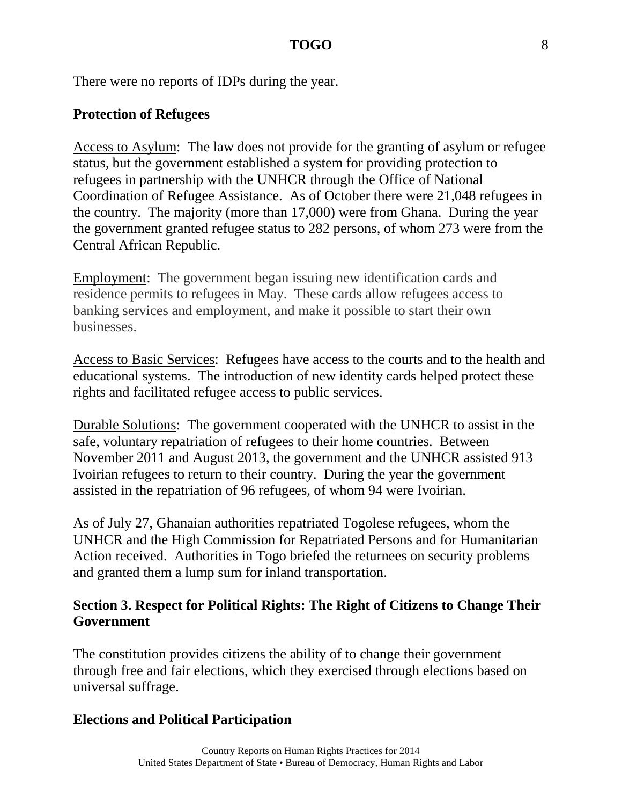There were no reports of IDPs during the year.

### **Protection of Refugees**

Access to Asylum: The law does not provide for the granting of asylum or refugee status, but the government established a system for providing protection to refugees in partnership with the UNHCR through the Office of National Coordination of Refugee Assistance. As of October there were 21,048 refugees in the country. The majority (more than 17,000) were from Ghana. During the year the government granted refugee status to 282 persons, of whom 273 were from the Central African Republic.

Employment: The government began issuing new identification cards and residence permits to refugees in May. These cards allow refugees access to banking services and employment, and make it possible to start their own businesses.

Access to Basic Services: Refugees have access to the courts and to the health and educational systems. The introduction of new identity cards helped protect these rights and facilitated refugee access to public services.

Durable Solutions: The government cooperated with the UNHCR to assist in the safe, voluntary repatriation of refugees to their home countries. Between November 2011 and August 2013, the government and the UNHCR assisted 913 Ivoirian refugees to return to their country. During the year the government assisted in the repatriation of 96 refugees, of whom 94 were Ivoirian.

As of July 27, Ghanaian authorities repatriated Togolese refugees, whom the UNHCR and the High Commission for Repatriated Persons and for Humanitarian Action received. Authorities in Togo briefed the returnees on security problems and granted them a lump sum for inland transportation.

### **Section 3. Respect for Political Rights: The Right of Citizens to Change Their Government**

The constitution provides citizens the ability of to change their government through free and fair elections, which they exercised through elections based on universal suffrage.

#### **Elections and Political Participation**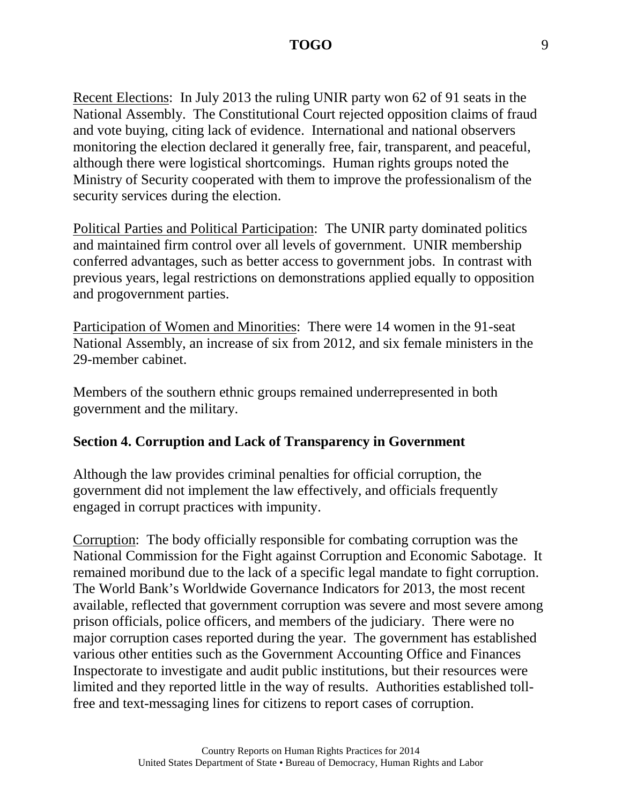Recent Elections: In July 2013 the ruling UNIR party won 62 of 91 seats in the National Assembly. The Constitutional Court rejected opposition claims of fraud and vote buying, citing lack of evidence. International and national observers monitoring the election declared it generally free, fair, transparent, and peaceful, although there were logistical shortcomings. Human rights groups noted the Ministry of Security cooperated with them to improve the professionalism of the security services during the election.

Political Parties and Political Participation: The UNIR party dominated politics and maintained firm control over all levels of government. UNIR membership conferred advantages, such as better access to government jobs. In contrast with previous years, legal restrictions on demonstrations applied equally to opposition and progovernment parties.

Participation of Women and Minorities: There were 14 women in the 91-seat National Assembly, an increase of six from 2012, and six female ministers in the 29-member cabinet.

Members of the southern ethnic groups remained underrepresented in both government and the military.

#### **Section 4. Corruption and Lack of Transparency in Government**

Although the law provides criminal penalties for official corruption, the government did not implement the law effectively, and officials frequently engaged in corrupt practices with impunity.

Corruption: The body officially responsible for combating corruption was the National Commission for the Fight against Corruption and Economic Sabotage. It remained moribund due to the lack of a specific legal mandate to fight corruption. The World Bank's Worldwide Governance Indicators for 2013, the most recent available, reflected that government corruption was severe and most severe among prison officials, police officers, and members of the judiciary. There were no major corruption cases reported during the year. The government has established various other entities such as the Government Accounting Office and Finances Inspectorate to investigate and audit public institutions, but their resources were limited and they reported little in the way of results. Authorities established tollfree and text-messaging lines for citizens to report cases of corruption.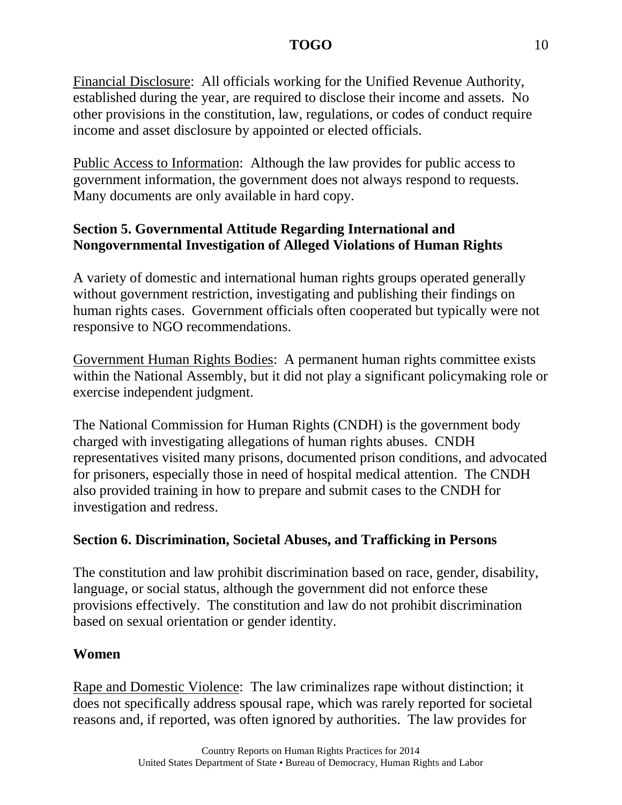Financial Disclosure: All officials working for the Unified Revenue Authority, established during the year, are required to disclose their income and assets. No other provisions in the constitution, law, regulations, or codes of conduct require income and asset disclosure by appointed or elected officials.

Public Access to Information: Although the law provides for public access to government information, the government does not always respond to requests. Many documents are only available in hard copy.

# **Section 5. Governmental Attitude Regarding International and Nongovernmental Investigation of Alleged Violations of Human Rights**

A variety of domestic and international human rights groups operated generally without government restriction, investigating and publishing their findings on human rights cases. Government officials often cooperated but typically were not responsive to NGO recommendations.

Government Human Rights Bodies: A permanent human rights committee exists within the National Assembly, but it did not play a significant policymaking role or exercise independent judgment.

The National Commission for Human Rights (CNDH) is the government body charged with investigating allegations of human rights abuses. CNDH representatives visited many prisons, documented prison conditions, and advocated for prisoners, especially those in need of hospital medical attention. The CNDH also provided training in how to prepare and submit cases to the CNDH for investigation and redress.

## **Section 6. Discrimination, Societal Abuses, and Trafficking in Persons**

The constitution and law prohibit discrimination based on race, gender, disability, language, or social status, although the government did not enforce these provisions effectively. The constitution and law do not prohibit discrimination based on sexual orientation or gender identity.

## **Women**

Rape and Domestic Violence: The law criminalizes rape without distinction; it does not specifically address spousal rape, which was rarely reported for societal reasons and, if reported, was often ignored by authorities. The law provides for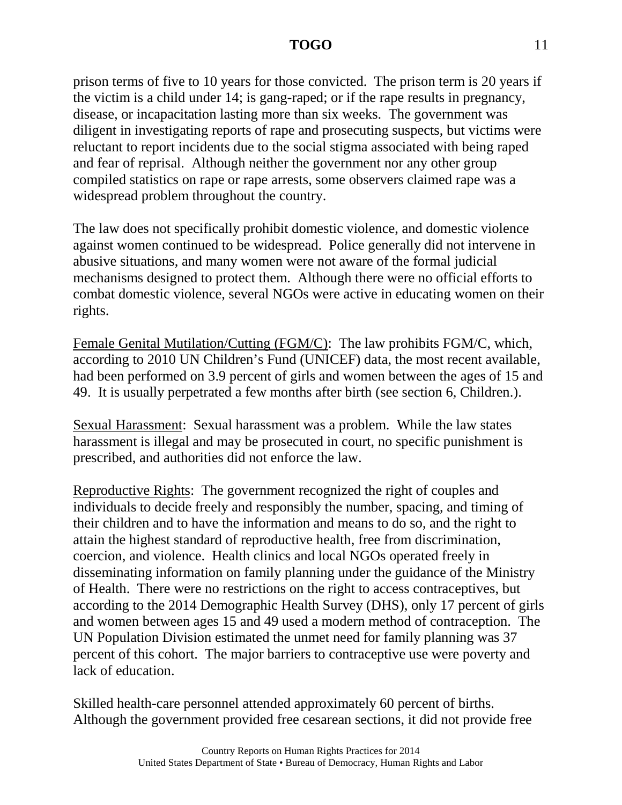prison terms of five to 10 years for those convicted. The prison term is 20 years if the victim is a child under 14; is gang-raped; or if the rape results in pregnancy, disease, or incapacitation lasting more than six weeks. The government was diligent in investigating reports of rape and prosecuting suspects, but victims were reluctant to report incidents due to the social stigma associated with being raped and fear of reprisal. Although neither the government nor any other group compiled statistics on rape or rape arrests, some observers claimed rape was a widespread problem throughout the country.

The law does not specifically prohibit domestic violence, and domestic violence against women continued to be widespread. Police generally did not intervene in abusive situations, and many women were not aware of the formal judicial mechanisms designed to protect them. Although there were no official efforts to combat domestic violence, several NGOs were active in educating women on their rights.

Female Genital Mutilation/Cutting (FGM/C): The law prohibits FGM/C, which, according to 2010 UN Children's Fund (UNICEF) data, the most recent available, had been performed on 3.9 percent of girls and women between the ages of 15 and 49. It is usually perpetrated a few months after birth (see section 6, Children.).

Sexual Harassment: Sexual harassment was a problem. While the law states harassment is illegal and may be prosecuted in court, no specific punishment is prescribed, and authorities did not enforce the law.

Reproductive Rights: The government recognized the right of couples and individuals to decide freely and responsibly the number, spacing, and timing of their children and to have the information and means to do so, and the right to attain the highest standard of reproductive health, free from discrimination, coercion, and violence. Health clinics and local NGOs operated freely in disseminating information on family planning under the guidance of the Ministry of Health. There were no restrictions on the right to access contraceptives, but according to the 2014 Demographic Health Survey (DHS), only 17 percent of girls and women between ages 15 and 49 used a modern method of contraception. The UN Population Division estimated the unmet need for family planning was 37 percent of this cohort. The major barriers to contraceptive use were poverty and lack of education.

Skilled health-care personnel attended approximately 60 percent of births. Although the government provided free cesarean sections, it did not provide free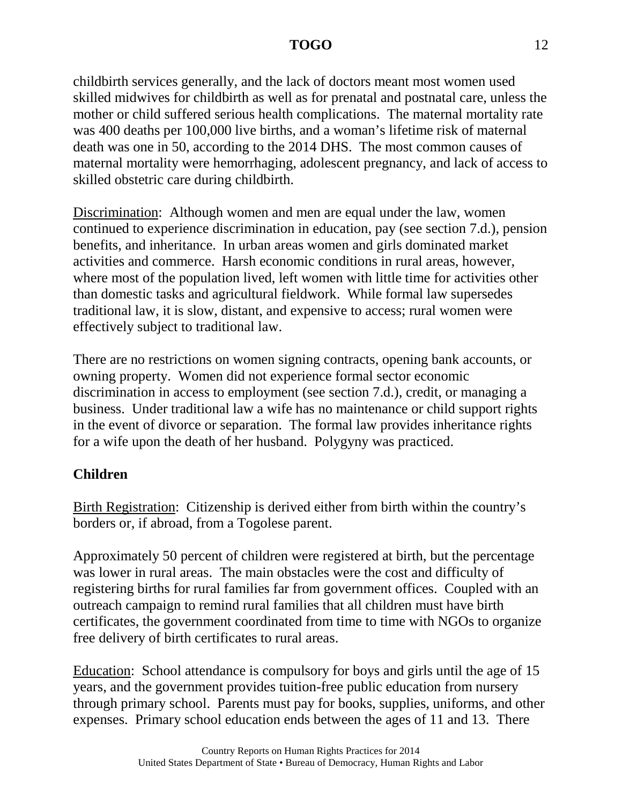childbirth services generally, and the lack of doctors meant most women used skilled midwives for childbirth as well as for prenatal and postnatal care, unless the mother or child suffered serious health complications. The maternal mortality rate was 400 deaths per 100,000 live births, and a woman's lifetime risk of maternal death was one in 50, according to the 2014 DHS. The most common causes of maternal mortality were hemorrhaging, adolescent pregnancy, and lack of access to skilled obstetric care during childbirth.

Discrimination: Although women and men are equal under the law, women continued to experience discrimination in education, pay (see section 7.d.), pension benefits, and inheritance. In urban areas women and girls dominated market activities and commerce. Harsh economic conditions in rural areas, however, where most of the population lived, left women with little time for activities other than domestic tasks and agricultural fieldwork. While formal law supersedes traditional law, it is slow, distant, and expensive to access; rural women were effectively subject to traditional law.

There are no restrictions on women signing contracts, opening bank accounts, or owning property. Women did not experience formal sector economic discrimination in access to employment (see section 7.d.), credit, or managing a business. Under traditional law a wife has no maintenance or child support rights in the event of divorce or separation. The formal law provides inheritance rights for a wife upon the death of her husband. Polygyny was practiced.

## **Children**

Birth Registration: Citizenship is derived either from birth within the country's borders or, if abroad, from a Togolese parent.

Approximately 50 percent of children were registered at birth, but the percentage was lower in rural areas. The main obstacles were the cost and difficulty of registering births for rural families far from government offices. Coupled with an outreach campaign to remind rural families that all children must have birth certificates, the government coordinated from time to time with NGOs to organize free delivery of birth certificates to rural areas.

Education: School attendance is compulsory for boys and girls until the age of 15 years, and the government provides tuition-free public education from nursery through primary school. Parents must pay for books, supplies, uniforms, and other expenses. Primary school education ends between the ages of 11 and 13. There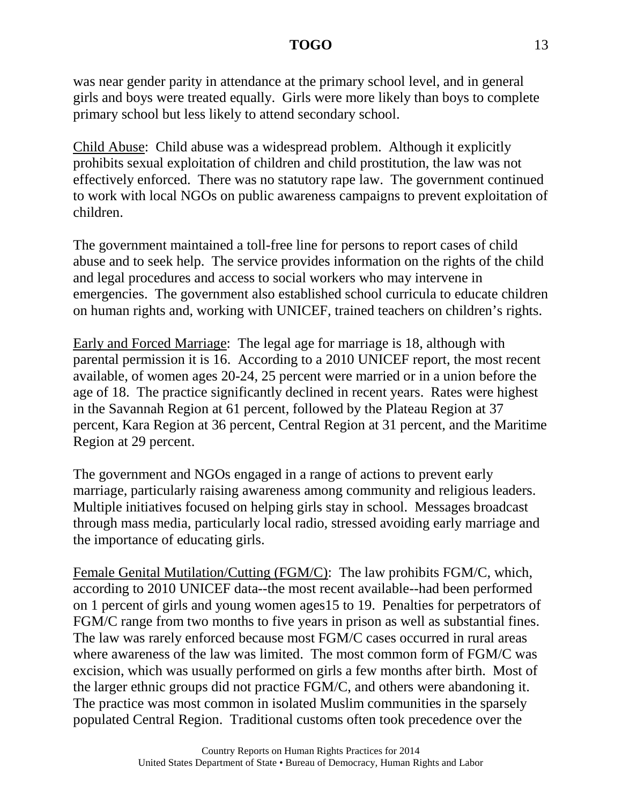was near gender parity in attendance at the primary school level, and in general girls and boys were treated equally. Girls were more likely than boys to complete primary school but less likely to attend secondary school.

Child Abuse: Child abuse was a widespread problem. Although it explicitly prohibits sexual exploitation of children and child prostitution, the law was not effectively enforced. There was no statutory rape law. The government continued to work with local NGOs on public awareness campaigns to prevent exploitation of children.

The government maintained a toll-free line for persons to report cases of child abuse and to seek help. The service provides information on the rights of the child and legal procedures and access to social workers who may intervene in emergencies. The government also established school curricula to educate children on human rights and, working with UNICEF, trained teachers on children's rights.

Early and Forced Marriage: The legal age for marriage is 18, although with parental permission it is 16. According to a 2010 UNICEF report, the most recent available, of women ages 20-24, 25 percent were married or in a union before the age of 18. The practice significantly declined in recent years. Rates were highest in the Savannah Region at 61 percent, followed by the Plateau Region at 37 percent, Kara Region at 36 percent, Central Region at 31 percent, and the Maritime Region at 29 percent.

The government and NGOs engaged in a range of actions to prevent early marriage, particularly raising awareness among community and religious leaders. Multiple initiatives focused on helping girls stay in school. Messages broadcast through mass media, particularly local radio, stressed avoiding early marriage and the importance of educating girls.

Female Genital Mutilation/Cutting (FGM/C): The law prohibits FGM/C, which, according to 2010 UNICEF data--the most recent available--had been performed on 1 percent of girls and young women ages15 to 19. Penalties for perpetrators of FGM/C range from two months to five years in prison as well as substantial fines. The law was rarely enforced because most FGM/C cases occurred in rural areas where awareness of the law was limited. The most common form of FGM/C was excision, which was usually performed on girls a few months after birth. Most of the larger ethnic groups did not practice FGM/C, and others were abandoning it. The practice was most common in isolated Muslim communities in the sparsely populated Central Region. Traditional customs often took precedence over the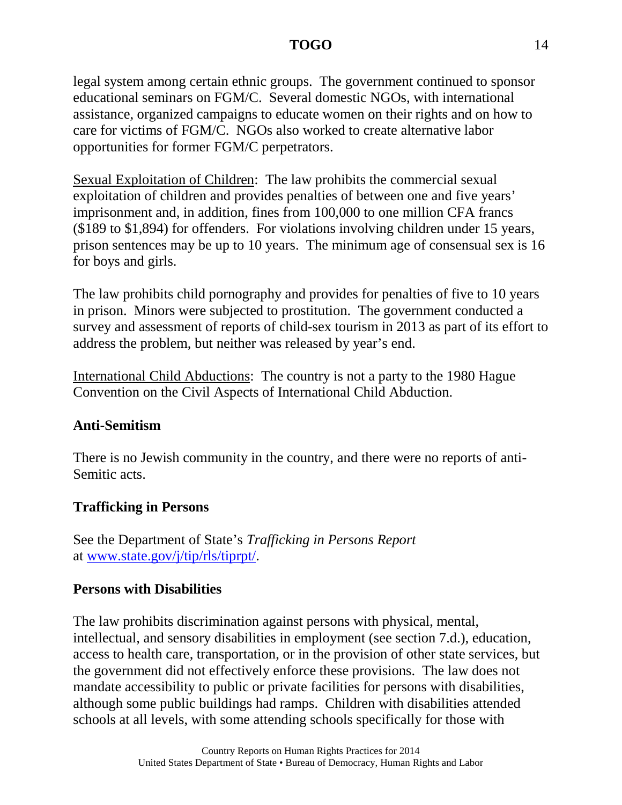legal system among certain ethnic groups. The government continued to sponsor educational seminars on FGM/C. Several domestic NGOs, with international assistance, organized campaigns to educate women on their rights and on how to care for victims of FGM/C. NGOs also worked to create alternative labor opportunities for former FGM/C perpetrators.

Sexual Exploitation of Children: The law prohibits the commercial sexual exploitation of children and provides penalties of between one and five years' imprisonment and, in addition, fines from 100,000 to one million CFA francs (\$189 to \$1,894) for offenders. For violations involving children under 15 years, prison sentences may be up to 10 years. The minimum age of consensual sex is 16 for boys and girls.

The law prohibits child pornography and provides for penalties of five to 10 years in prison. Minors were subjected to prostitution. The government conducted a survey and assessment of reports of child-sex tourism in 2013 as part of its effort to address the problem, but neither was released by year's end.

International Child Abductions: The country is not a party to the 1980 Hague Convention on the Civil Aspects of International Child Abduction.

### **Anti-Semitism**

There is no Jewish community in the country, and there were no reports of anti-Semitic acts.

### **Trafficking in Persons**

See the Department of State's *Trafficking in Persons Report* at [www.state.gov/j/tip/rls/tiprpt/.](http://www.state.gov/j/tip/rls/tiprpt/)

### **Persons with Disabilities**

The law prohibits discrimination against persons with physical, mental, intellectual, and sensory disabilities in employment (see section 7.d.), education, access to health care, transportation, or in the provision of other state services, but the government did not effectively enforce these provisions. The law does not mandate accessibility to public or private facilities for persons with disabilities, although some public buildings had ramps. Children with disabilities attended schools at all levels, with some attending schools specifically for those with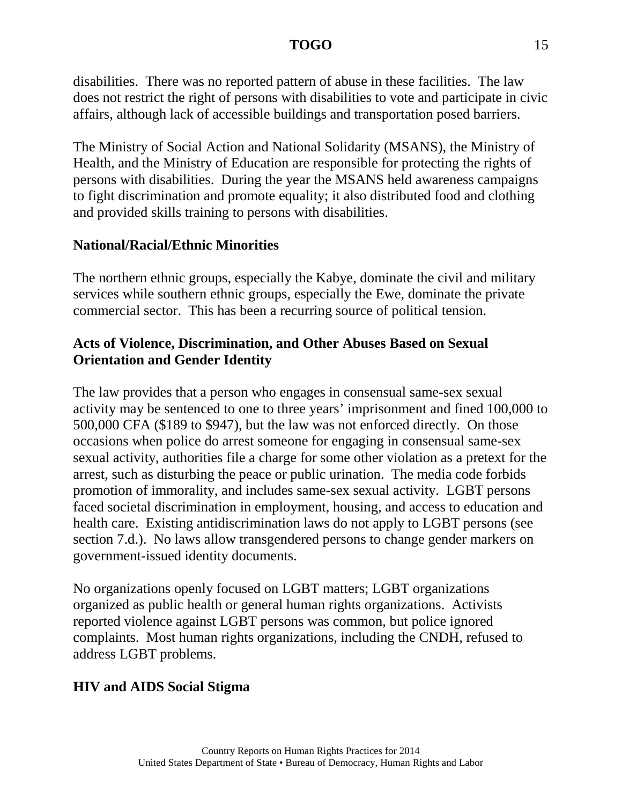disabilities. There was no reported pattern of abuse in these facilities. The law does not restrict the right of persons with disabilities to vote and participate in civic affairs, although lack of accessible buildings and transportation posed barriers.

The Ministry of Social Action and National Solidarity (MSANS), the Ministry of Health, and the Ministry of Education are responsible for protecting the rights of persons with disabilities. During the year the MSANS held awareness campaigns to fight discrimination and promote equality; it also distributed food and clothing and provided skills training to persons with disabilities.

## **National/Racial/Ethnic Minorities**

The northern ethnic groups, especially the Kabye, dominate the civil and military services while southern ethnic groups, especially the Ewe, dominate the private commercial sector. This has been a recurring source of political tension.

## **Acts of Violence, Discrimination, and Other Abuses Based on Sexual Orientation and Gender Identity**

The law provides that a person who engages in consensual same-sex sexual activity may be sentenced to one to three years' imprisonment and fined 100,000 to 500,000 CFA (\$189 to \$947), but the law was not enforced directly. On those occasions when police do arrest someone for engaging in consensual same-sex sexual activity, authorities file a charge for some other violation as a pretext for the arrest, such as disturbing the peace or public urination. The media code forbids promotion of immorality, and includes same-sex sexual activity. LGBT persons faced societal discrimination in employment, housing, and access to education and health care. Existing antidiscrimination laws do not apply to LGBT persons (see section 7.d.). No laws allow transgendered persons to change gender markers on government-issued identity documents.

No organizations openly focused on LGBT matters; LGBT organizations organized as public health or general human rights organizations. Activists reported violence against LGBT persons was common, but police ignored complaints. Most human rights organizations, including the CNDH, refused to address LGBT problems.

## **HIV and AIDS Social Stigma**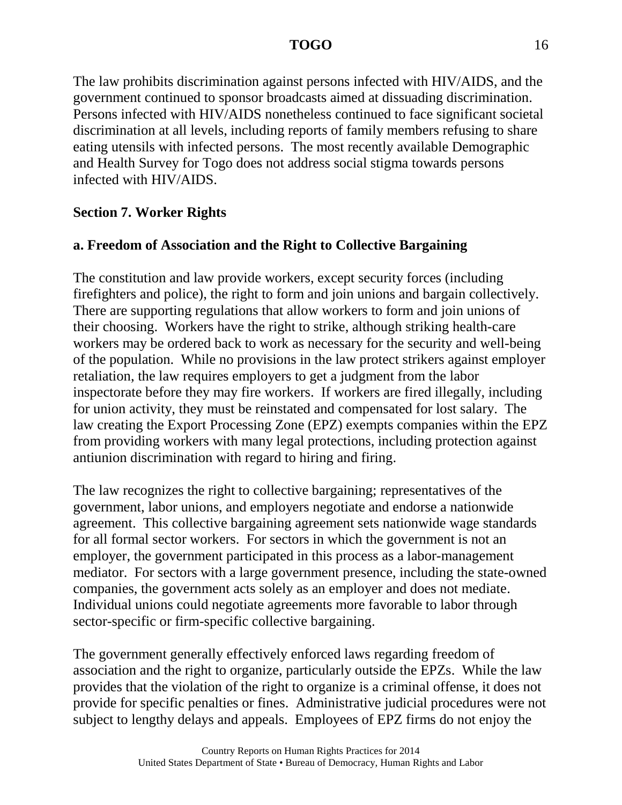The law prohibits discrimination against persons infected with HIV/AIDS, and the government continued to sponsor broadcasts aimed at dissuading discrimination. Persons infected with HIV/AIDS nonetheless continued to face significant societal discrimination at all levels, including reports of family members refusing to share eating utensils with infected persons. The most recently available Demographic and Health Survey for Togo does not address social stigma towards persons infected with HIV/AIDS.

## **Section 7. Worker Rights**

# **a. Freedom of Association and the Right to Collective Bargaining**

The constitution and law provide workers, except security forces (including firefighters and police), the right to form and join unions and bargain collectively. There are supporting regulations that allow workers to form and join unions of their choosing. Workers have the right to strike, although striking health-care workers may be ordered back to work as necessary for the security and well-being of the population. While no provisions in the law protect strikers against employer retaliation, the law requires employers to get a judgment from the labor inspectorate before they may fire workers. If workers are fired illegally, including for union activity, they must be reinstated and compensated for lost salary. The law creating the Export Processing Zone (EPZ) exempts companies within the EPZ from providing workers with many legal protections, including protection against antiunion discrimination with regard to hiring and firing.

The law recognizes the right to collective bargaining; representatives of the government, labor unions, and employers negotiate and endorse a nationwide agreement. This collective bargaining agreement sets nationwide wage standards for all formal sector workers. For sectors in which the government is not an employer, the government participated in this process as a labor-management mediator. For sectors with a large government presence, including the state-owned companies, the government acts solely as an employer and does not mediate. Individual unions could negotiate agreements more favorable to labor through sector-specific or firm-specific collective bargaining.

The government generally effectively enforced laws regarding freedom of association and the right to organize, particularly outside the EPZs. While the law provides that the violation of the right to organize is a criminal offense, it does not provide for specific penalties or fines. Administrative judicial procedures were not subject to lengthy delays and appeals. Employees of EPZ firms do not enjoy the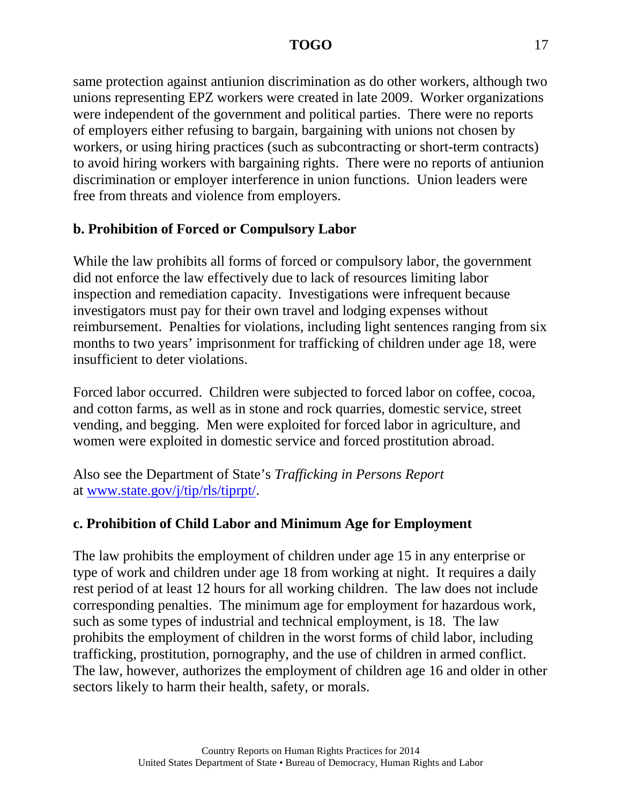same protection against antiunion discrimination as do other workers, although two unions representing EPZ workers were created in late 2009. Worker organizations were independent of the government and political parties. There were no reports of employers either refusing to bargain, bargaining with unions not chosen by workers, or using hiring practices (such as subcontracting or short-term contracts) to avoid hiring workers with bargaining rights. There were no reports of antiunion discrimination or employer interference in union functions. Union leaders were free from threats and violence from employers.

## **b. Prohibition of Forced or Compulsory Labor**

While the law prohibits all forms of forced or compulsory labor, the government did not enforce the law effectively due to lack of resources limiting labor inspection and remediation capacity. Investigations were infrequent because investigators must pay for their own travel and lodging expenses without reimbursement. Penalties for violations, including light sentences ranging from six months to two years' imprisonment for trafficking of children under age 18, were insufficient to deter violations.

Forced labor occurred. Children were subjected to forced labor on coffee, cocoa, and cotton farms, as well as in stone and rock quarries, domestic service, street vending, and begging. Men were exploited for forced labor in agriculture, and women were exploited in domestic service and forced prostitution abroad.

Also see the Department of State's *Trafficking in Persons Report* at [www.state.gov/j/tip/rls/tiprpt/.](http://www.state.gov/j/tip/rls/tiprpt/)

## **c. Prohibition of Child Labor and Minimum Age for Employment**

The law prohibits the employment of children under age 15 in any enterprise or type of work and children under age 18 from working at night. It requires a daily rest period of at least 12 hours for all working children. The law does not include corresponding penalties. The minimum age for employment for hazardous work, such as some types of industrial and technical employment, is 18. The law prohibits the employment of children in the worst forms of child labor, including trafficking, prostitution, pornography, and the use of children in armed conflict. The law, however, authorizes the employment of children age 16 and older in other sectors likely to harm their health, safety, or morals.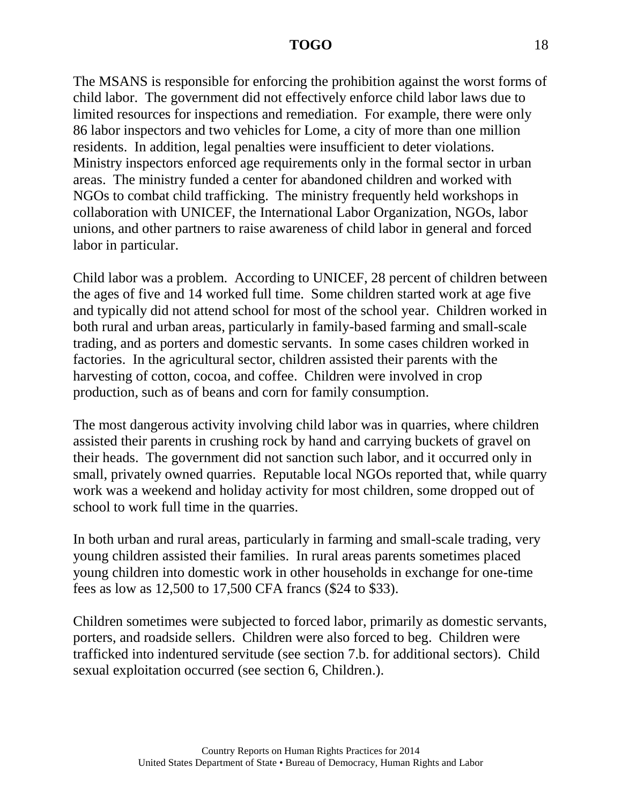The MSANS is responsible for enforcing the prohibition against the worst forms of child labor. The government did not effectively enforce child labor laws due to limited resources for inspections and remediation. For example, there were only 86 labor inspectors and two vehicles for Lome, a city of more than one million residents. In addition, legal penalties were insufficient to deter violations. Ministry inspectors enforced age requirements only in the formal sector in urban areas. The ministry funded a center for abandoned children and worked with NGOs to combat child trafficking. The ministry frequently held workshops in collaboration with UNICEF, the International Labor Organization, NGOs, labor unions, and other partners to raise awareness of child labor in general and forced labor in particular.

Child labor was a problem. According to UNICEF, 28 percent of children between the ages of five and 14 worked full time. Some children started work at age five and typically did not attend school for most of the school year. Children worked in both rural and urban areas, particularly in family-based farming and small-scale trading, and as porters and domestic servants. In some cases children worked in factories. In the agricultural sector, children assisted their parents with the harvesting of cotton, cocoa, and coffee. Children were involved in crop production, such as of beans and corn for family consumption.

The most dangerous activity involving child labor was in quarries, where children assisted their parents in crushing rock by hand and carrying buckets of gravel on their heads. The government did not sanction such labor, and it occurred only in small, privately owned quarries. Reputable local NGOs reported that, while quarry work was a weekend and holiday activity for most children, some dropped out of school to work full time in the quarries.

In both urban and rural areas, particularly in farming and small-scale trading, very young children assisted their families. In rural areas parents sometimes placed young children into domestic work in other households in exchange for one-time fees as low as 12,500 to 17,500 CFA francs (\$24 to \$33).

Children sometimes were subjected to forced labor, primarily as domestic servants, porters, and roadside sellers. Children were also forced to beg. Children were trafficked into indentured servitude (see section 7.b. for additional sectors). Child sexual exploitation occurred (see section 6, Children.).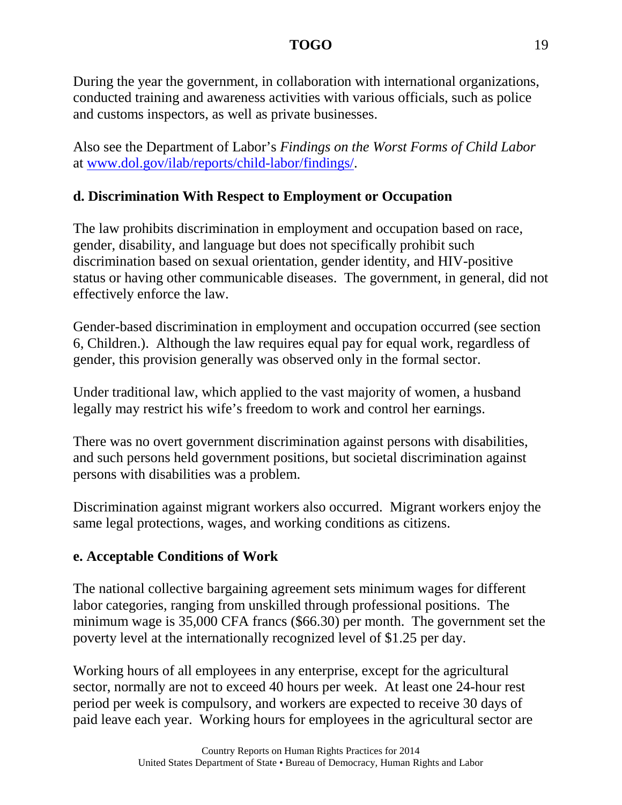During the year the government, in collaboration with international organizations, conducted training and awareness activities with various officials, such as police and customs inspectors, as well as private businesses.

Also see the Department of Labor's *Findings on the Worst Forms of Child Labor* at [www.dol.gov/ilab/reports/child-labor/findings/.](http://www.dol.gov/ilab/reports/child-labor/findings/)

## **d. Discrimination With Respect to Employment or Occupation**

The law prohibits discrimination in employment and occupation based on race, gender, disability, and language but does not specifically prohibit such discrimination based on sexual orientation, gender identity, and HIV-positive status or having other communicable diseases. The government, in general, did not effectively enforce the law.

Gender-based discrimination in employment and occupation occurred (see section 6, Children.). Although the law requires equal pay for equal work, regardless of gender, this provision generally was observed only in the formal sector.

Under traditional law, which applied to the vast majority of women, a husband legally may restrict his wife's freedom to work and control her earnings.

There was no overt government discrimination against persons with disabilities, and such persons held government positions, but societal discrimination against persons with disabilities was a problem.

Discrimination against migrant workers also occurred. Migrant workers enjoy the same legal protections, wages, and working conditions as citizens.

## **e. Acceptable Conditions of Work**

The national collective bargaining agreement sets minimum wages for different labor categories, ranging from unskilled through professional positions. The minimum wage is 35,000 CFA francs (\$66.30) per month. The government set the poverty level at the internationally recognized level of \$1.25 per day.

Working hours of all employees in any enterprise, except for the agricultural sector, normally are not to exceed 40 hours per week. At least one 24-hour rest period per week is compulsory, and workers are expected to receive 30 days of paid leave each year. Working hours for employees in the agricultural sector are